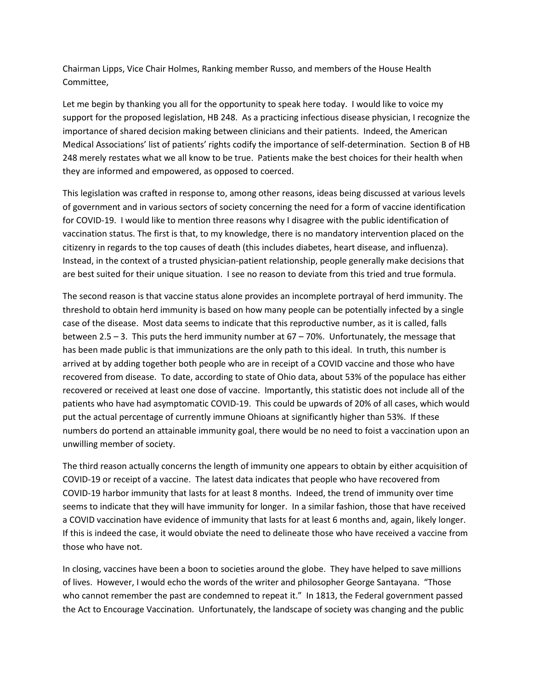Chairman Lipps, Vice Chair Holmes, Ranking member Russo, and members of the House Health Committee,

Let me begin by thanking you all for the opportunity to speak here today. I would like to voice my support for the proposed legislation, HB 248. As a practicing infectious disease physician, I recognize the importance of shared decision making between clinicians and their patients. Indeed, the American Medical Associations' list of patients' rights codify the importance of self-determination. Section B of HB 248 merely restates what we all know to be true. Patients make the best choices for their health when they are informed and empowered, as opposed to coerced.

This legislation was crafted in response to, among other reasons, ideas being discussed at various levels of government and in various sectors of society concerning the need for a form of vaccine identification for COVID-19. I would like to mention three reasons why I disagree with the public identification of vaccination status. The first is that, to my knowledge, there is no mandatory intervention placed on the citizenry in regards to the top causes of death (this includes diabetes, heart disease, and influenza). Instead, in the context of a trusted physician-patient relationship, people generally make decisions that are best suited for their unique situation. I see no reason to deviate from this tried and true formula.

The second reason is that vaccine status alone provides an incomplete portrayal of herd immunity. The threshold to obtain herd immunity is based on how many people can be potentially infected by a single case of the disease. Most data seems to indicate that this reproductive number, as it is called, falls between 2.5 – 3. This puts the herd immunity number at 67 – 70%. Unfortunately, the message that has been made public is that immunizations are the only path to this ideal. In truth, this number is arrived at by adding together both people who are in receipt of a COVID vaccine and those who have recovered from disease. To date, according to state of Ohio data, about 53% of the populace has either recovered or received at least one dose of vaccine. Importantly, this statistic does not include all of the patients who have had asymptomatic COVID-19. This could be upwards of 20% of all cases, which would put the actual percentage of currently immune Ohioans at significantly higher than 53%. If these numbers do portend an attainable immunity goal, there would be no need to foist a vaccination upon an unwilling member of society.

The third reason actually concerns the length of immunity one appears to obtain by either acquisition of COVID-19 or receipt of a vaccine. The latest data indicates that people who have recovered from COVID-19 harbor immunity that lasts for at least 8 months. Indeed, the trend of immunity over time seems to indicate that they will have immunity for longer. In a similar fashion, those that have received a COVID vaccination have evidence of immunity that lasts for at least 6 months and, again, likely longer. If this is indeed the case, it would obviate the need to delineate those who have received a vaccine from those who have not.

In closing, vaccines have been a boon to societies around the globe. They have helped to save millions of lives. However, I would echo the words of the writer and philosopher George Santayana. "Those who cannot remember the past are condemned to repeat it." In 1813, the Federal government passed the Act to Encourage Vaccination. Unfortunately, the landscape of society was changing and the public